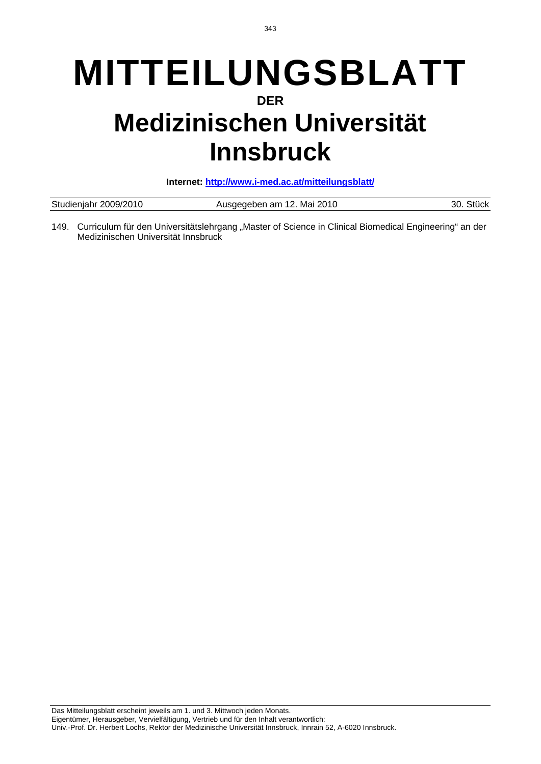# **MITTEILUNGSBLATT DER Medizinischen Universität Innsbruck**

**Internet: http://www.i-med.ac.at/mitteilungsblatt/**

| Studienjahr 2009/2010 | Ausgegeben am 12. Mai 2010 | 30. Stück |
|-----------------------|----------------------------|-----------|
|                       |                            |           |

149. Curriculum für den Universitätslehrgang "Master of Science in Clinical Biomedical Engineering" an der Medizinischen Universität Innsbruck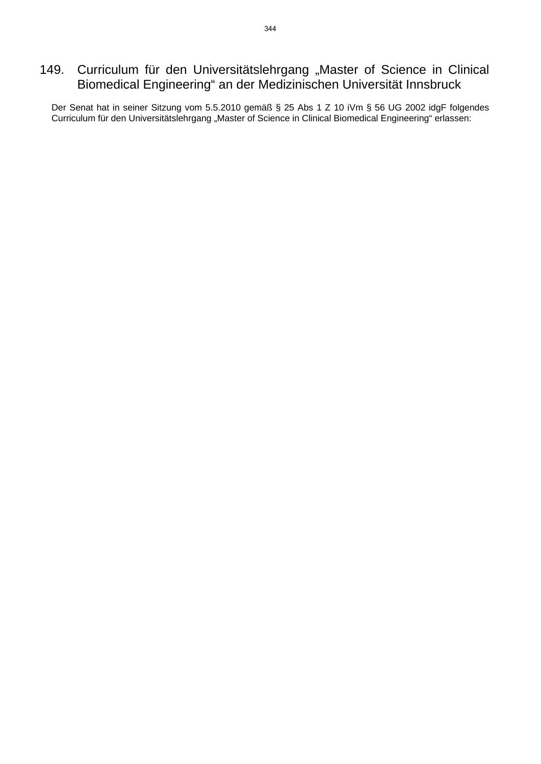## 149. Curriculum für den Universitätslehrgang "Master of Science in Clinical Biomedical Engineering" an der Medizinischen Universität Innsbruck

Der Senat hat in seiner Sitzung vom 5.5.2010 gemäß § 25 Abs 1 Z 10 iVm § 56 UG 2002 idgF folgendes Curriculum für den Universitätslehrgang "Master of Science in Clinical Biomedical Engineering" erlassen: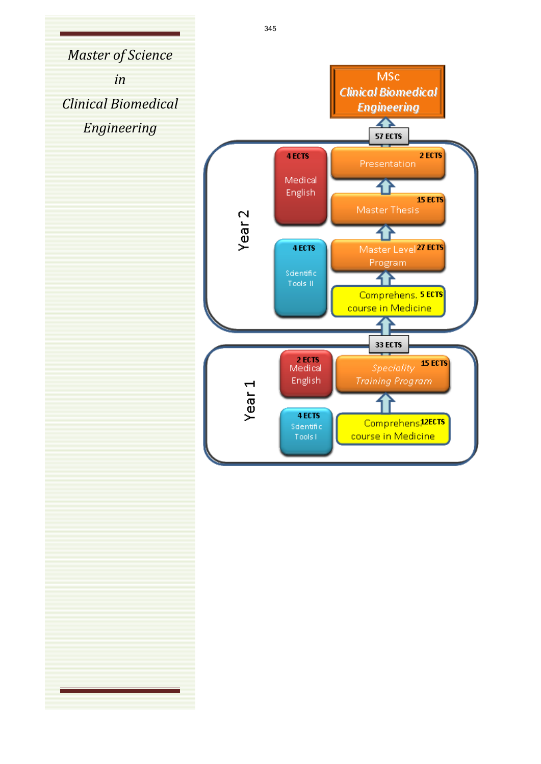*Master of Science in Clinical Biomedical Engineering*

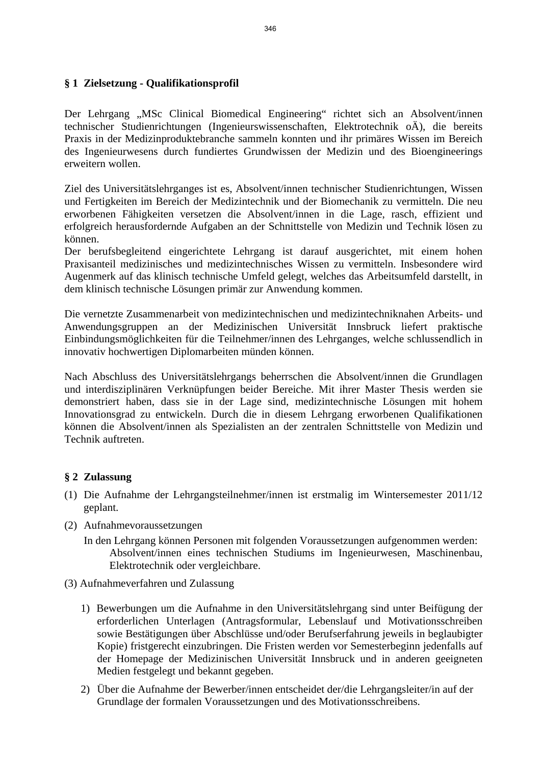#### **§ 1 Zielsetzung - Qualifikationsprofil**

Der Lehrgang "MSc Clinical Biomedical Engineering" richtet sich an Absolvent/innen technischer Studienrichtungen (Ingenieurswissenschaften, Elektrotechnik oÄ), die bereits Praxis in der Medizinproduktebranche sammeln konnten und ihr primäres Wissen im Bereich des Ingenieurwesens durch fundiertes Grundwissen der Medizin und des Bioengineerings erweitern wollen.

Ziel des Universitätslehrganges ist es, Absolvent/innen technischer Studienrichtungen, Wissen und Fertigkeiten im Bereich der Medizintechnik und der Biomechanik zu vermitteln. Die neu erworbenen Fähigkeiten versetzen die Absolvent/innen in die Lage, rasch, effizient und erfolgreich herausfordernde Aufgaben an der Schnittstelle von Medizin und Technik lösen zu können.

Der berufsbegleitend eingerichtete Lehrgang ist darauf ausgerichtet, mit einem hohen Praxisanteil medizinisches und medizintechnisches Wissen zu vermitteln. Insbesondere wird Augenmerk auf das klinisch technische Umfeld gelegt, welches das Arbeitsumfeld darstellt, in dem klinisch technische Lösungen primär zur Anwendung kommen.

Die vernetzte Zusammenarbeit von medizintechnischen und medizintechniknahen Arbeits- und Anwendungsgruppen an der Medizinischen Universität Innsbruck liefert praktische Einbindungsmöglichkeiten für die Teilnehmer/innen des Lehrganges, welche schlussendlich in innovativ hochwertigen Diplomarbeiten münden können.

Nach Abschluss des Universitätslehrgangs beherrschen die Absolvent/innen die Grundlagen und interdisziplinären Verknüpfungen beider Bereiche. Mit ihrer Master Thesis werden sie demonstriert haben, dass sie in der Lage sind, medizintechnische Lösungen mit hohem Innovationsgrad zu entwickeln. Durch die in diesem Lehrgang erworbenen Qualifikationen können die Absolvent/innen als Spezialisten an der zentralen Schnittstelle von Medizin und Technik auftreten.

#### **§ 2 Zulassung**

- (1) Die Aufnahme der Lehrgangsteilnehmer/innen ist erstmalig im Wintersemester 2011/12 geplant.
- (2) Aufnahmevoraussetzungen
	- In den Lehrgang können Personen mit folgenden Voraussetzungen aufgenommen werden: Absolvent/innen eines technischen Studiums im Ingenieurwesen, Maschinenbau, Elektrotechnik oder vergleichbare.
- (3) Aufnahmeverfahren und Zulassung
	- 1) Bewerbungen um die Aufnahme in den Universitätslehrgang sind unter Beifügung der erforderlichen Unterlagen (Antragsformular, Lebenslauf und Motivationsschreiben sowie Bestätigungen über Abschlüsse und/oder Berufserfahrung jeweils in beglaubigter Kopie) fristgerecht einzubringen. Die Fristen werden vor Semesterbeginn jedenfalls auf der Homepage der Medizinischen Universität Innsbruck und in anderen geeigneten Medien festgelegt und bekannt gegeben.
	- 2) Über die Aufnahme der Bewerber/innen entscheidet der/die Lehrgangsleiter/in auf der Grundlage der formalen Voraussetzungen und des Motivationsschreibens.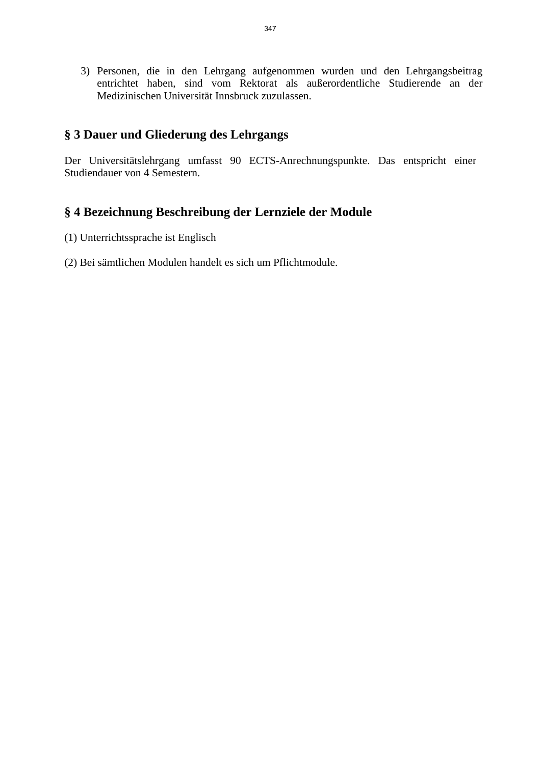3) Personen, die in den Lehrgang aufgenommen wurden und den Lehrgangsbeitrag entrichtet haben, sind vom Rektorat als außerordentliche Studierende an der Medizinischen Universität Innsbruck zuzulassen.

#### **§ 3 Dauer und Gliederung des Lehrgangs**

Der Universitätslehrgang umfasst 90 ECTS-Anrechnungspunkte. Das entspricht einer Studiendauer von 4 Semestern.

## **§ 4 Bezeichnung Beschreibung der Lernziele der Module**

- (1) Unterrichtssprache ist Englisch
- (2) Bei sämtlichen Modulen handelt es sich um Pflichtmodule.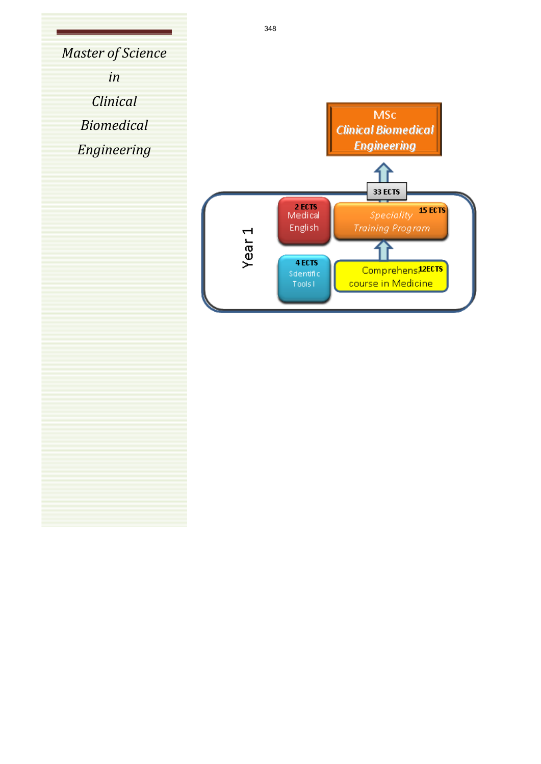*Master of Science in Clinical Biomedical Engineering*

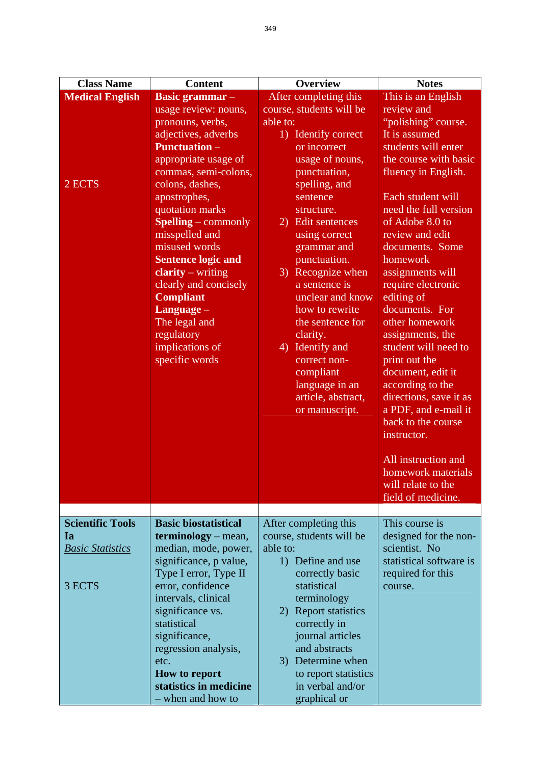| <b>Class Name</b>                                                  | <b>Content</b>                                                                                                                                                                                                                                                                                                                                                                                                                                         | <b>Overview</b>                                                                                                                                                                                                                                                                                                                                                                                                                                      | <b>Notes</b>                                                                                                                                                                                                                                                                                                                                                                                                                                                                                                                                                                                                                   |
|--------------------------------------------------------------------|--------------------------------------------------------------------------------------------------------------------------------------------------------------------------------------------------------------------------------------------------------------------------------------------------------------------------------------------------------------------------------------------------------------------------------------------------------|------------------------------------------------------------------------------------------------------------------------------------------------------------------------------------------------------------------------------------------------------------------------------------------------------------------------------------------------------------------------------------------------------------------------------------------------------|--------------------------------------------------------------------------------------------------------------------------------------------------------------------------------------------------------------------------------------------------------------------------------------------------------------------------------------------------------------------------------------------------------------------------------------------------------------------------------------------------------------------------------------------------------------------------------------------------------------------------------|
| <b>Medical English</b>                                             | <b>Basic grammar</b> –                                                                                                                                                                                                                                                                                                                                                                                                                                 | After completing this                                                                                                                                                                                                                                                                                                                                                                                                                                | This is an English                                                                                                                                                                                                                                                                                                                                                                                                                                                                                                                                                                                                             |
| 2 ECTS                                                             | usage review: nouns,<br>pronouns, verbs,<br>adjectives, adverbs<br><b>Punctuation</b> –<br>appropriate usage of<br>commas, semi-colons,<br>colons, dashes,<br>apostrophes,<br>quotation marks<br><b>Spelling</b> – commonly<br>misspelled and<br>misused words<br><b>Sentence logic and</b><br>$clarity - writing$<br>clearly and concisely<br><b>Compliant</b><br>$L$ anguage $-$<br>The legal and<br>regulatory<br>implications of<br>specific words | course, students will be<br>able to:<br>1) Identify correct<br>or incorrect<br>usage of nouns,<br>punctuation,<br>spelling, and<br>sentence<br>structure.<br>2) Edit sentences<br>using correct<br>grammar and<br>punctuation.<br>3) Recognize when<br>a sentence is<br>unclear and know<br>how to rewrite<br>the sentence for<br>clarity.<br>4) Identify and<br>correct non-<br>compliant<br>language in an<br>article, abstract,<br>or manuscript. | review and<br>"polishing" course.<br>It is assumed<br>students will enter<br>the course with basic<br>fluency in English.<br>Each student will<br>need the full version<br>of Adobe 8.0 to<br>review and edit<br>documents. Some<br>homework<br>assignments will<br>require electronic<br>editing of<br>documents. For<br>other homework<br>assignments, the<br>student will need to<br>print out the<br>document, edit it<br>according to the<br>directions, save it as<br>a PDF, and e-mail it<br>back to the course<br>instructor.<br>All instruction and<br>homework materials<br>will relate to the<br>field of medicine. |
|                                                                    |                                                                                                                                                                                                                                                                                                                                                                                                                                                        |                                                                                                                                                                                                                                                                                                                                                                                                                                                      |                                                                                                                                                                                                                                                                                                                                                                                                                                                                                                                                                                                                                                |
| <b>Scientific Tools</b><br>Ia<br><b>Basic Statistics</b><br>3 ECTS | <b>Basic biostatistical</b><br><b>terminology</b> – mean,<br>median, mode, power,<br>significance, p value,<br>Type I error, Type II<br>error, confidence                                                                                                                                                                                                                                                                                              | After completing this<br>course, students will be<br>able to:<br>1) Define and use<br>correctly basic<br>statistical                                                                                                                                                                                                                                                                                                                                 | This course is<br>designed for the non-<br>scientist. No<br>statistical software is<br>required for this<br>course.                                                                                                                                                                                                                                                                                                                                                                                                                                                                                                            |
|                                                                    | intervals, clinical<br>significance vs.<br>statistical<br>significance,<br>regression analysis,<br>etc.<br><b>How to report</b><br>statistics in medicine<br>- when and how to                                                                                                                                                                                                                                                                         | terminology<br><b>Report statistics</b><br>2)<br>correctly in<br>journal articles<br>and abstracts<br>3) Determine when<br>to report statistics<br>in verbal and/or<br>graphical or                                                                                                                                                                                                                                                                  |                                                                                                                                                                                                                                                                                                                                                                                                                                                                                                                                                                                                                                |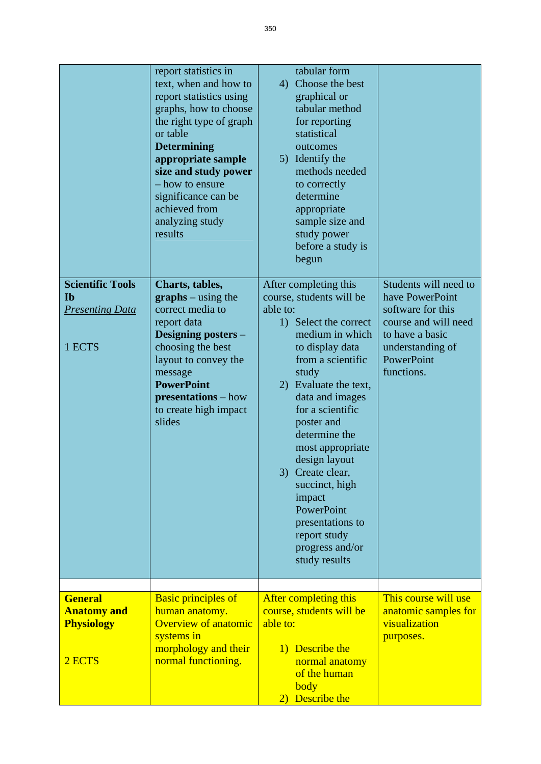|                                                                          | report statistics in<br>text, when and how to<br>report statistics using<br>graphs, how to choose<br>the right type of graph<br>or table<br><b>Determining</b><br>appropriate sample<br>size and study power<br>- how to ensure<br>significance can be<br>achieved from<br>analyzing study<br>results | tabular form<br>Choose the best<br>4)<br>graphical or<br>tabular method<br>for reporting<br>statistical<br>outcomes<br>5) Identify the<br>methods needed<br>to correctly<br>determine<br>appropriate<br>sample size and<br>study power<br>before a study is<br>begun                                                                                                                                                                 |                                                                                                                                                          |
|--------------------------------------------------------------------------|-------------------------------------------------------------------------------------------------------------------------------------------------------------------------------------------------------------------------------------------------------------------------------------------------------|--------------------------------------------------------------------------------------------------------------------------------------------------------------------------------------------------------------------------------------------------------------------------------------------------------------------------------------------------------------------------------------------------------------------------------------|----------------------------------------------------------------------------------------------------------------------------------------------------------|
| <b>Scientific Tools</b><br><b>Ib</b><br><b>Presenting Data</b><br>1 ECTS | Charts, tables,<br>$graphs - using the$<br>correct media to<br>report data<br>Designing posters -<br>choosing the best<br>layout to convey the<br>message<br><b>PowerPoint</b><br>presentations – how<br>to create high impact<br>slides                                                              | After completing this<br>course, students will be<br>able to:<br>1) Select the correct<br>medium in which<br>to display data<br>from a scientific<br>study<br>2) Evaluate the text,<br>data and images<br>for a scientific<br>poster and<br>determine the<br>most appropriate<br>design layout<br>3) Create clear,<br>succinct, high<br>impact<br>PowerPoint<br>presentations to<br>report study<br>progress and/or<br>study results | Students will need to<br>have PowerPoint<br>software for this<br>course and will need<br>to have a basic<br>understanding of<br>PowerPoint<br>functions. |
| <b>General</b><br><b>Anatomy and</b><br><b>Physiology</b><br>2 ECTS      | <b>Basic principles of</b><br>human anatomy.<br><b>Overview of anatomic</b><br>systems in<br>morphology and their<br>normal functioning.                                                                                                                                                              | After completing this<br>course, students will be<br>able to:<br>1) Describe the<br>normal anatomy<br>of the human<br>body<br>2) Describe the                                                                                                                                                                                                                                                                                        | This course will use<br>anatomic samples for<br>visualization<br>purposes.                                                                               |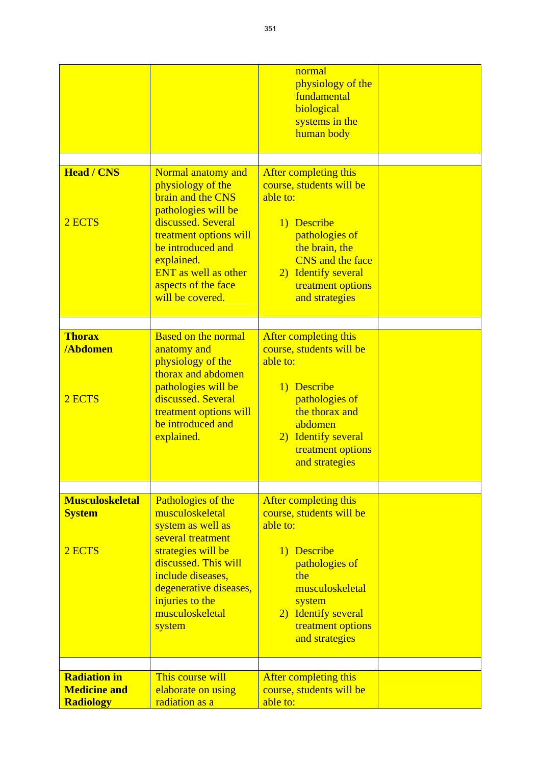| <b>Head / CNS</b><br>2 ECTS<br><b>Thorax</b><br><b>/Abdomen</b> | Normal anatomy and<br>physiology of the<br>brain and the CNS<br>pathologies will be<br>discussed. Several<br>treatment options will<br>be introduced and<br>explained.<br><b>ENT</b> as well as other<br>aspects of the face<br>will be covered.<br><b>Based on the normal</b><br>anatomy and | normal<br>physiology of the<br>fundamental<br>biological<br>systems in the<br>human body<br>After completing this<br>course, students will be<br>able to:<br>1) Describe<br>pathologies of<br>the brain, the<br><b>CNS</b> and the face<br>2) Identify several<br>treatment options<br>and strategies<br>After completing this<br>course, students will be |  |
|-----------------------------------------------------------------|-----------------------------------------------------------------------------------------------------------------------------------------------------------------------------------------------------------------------------------------------------------------------------------------------|------------------------------------------------------------------------------------------------------------------------------------------------------------------------------------------------------------------------------------------------------------------------------------------------------------------------------------------------------------|--|
| 2 ECTS                                                          | physiology of the<br>thorax and abdomen<br>pathologies will be<br>discussed. Several<br>treatment options will<br>be introduced and<br>explained.                                                                                                                                             | able to:<br>1) Describe<br>pathologies of<br>the thorax and<br>abdomen<br>2) Identify several<br>treatment options<br>and strategies                                                                                                                                                                                                                       |  |
| <b>Musculoskeletal</b>                                          | Pathologies of the                                                                                                                                                                                                                                                                            | After completing this                                                                                                                                                                                                                                                                                                                                      |  |
| <b>System</b><br>2 ECTS                                         | musculoskeletal<br>system as well as<br>several treatment<br>strategies will be<br>discussed. This will<br>include diseases,<br>degenerative diseases,<br>injuries to the<br>musculoskeletal<br>system                                                                                        | course, students will be<br>able to:<br>1) Describe<br>pathologies of<br>the<br>musculoskeletal<br>system<br>2) Identify several<br>treatment options<br>and strategies                                                                                                                                                                                    |  |
| <b>Radiation in</b>                                             | This course will                                                                                                                                                                                                                                                                              | After completing this                                                                                                                                                                                                                                                                                                                                      |  |
| <b>Medicine and</b><br><b>Radiology</b>                         | elaborate on using<br>radiation as a                                                                                                                                                                                                                                                          | course, students will be<br>able to:                                                                                                                                                                                                                                                                                                                       |  |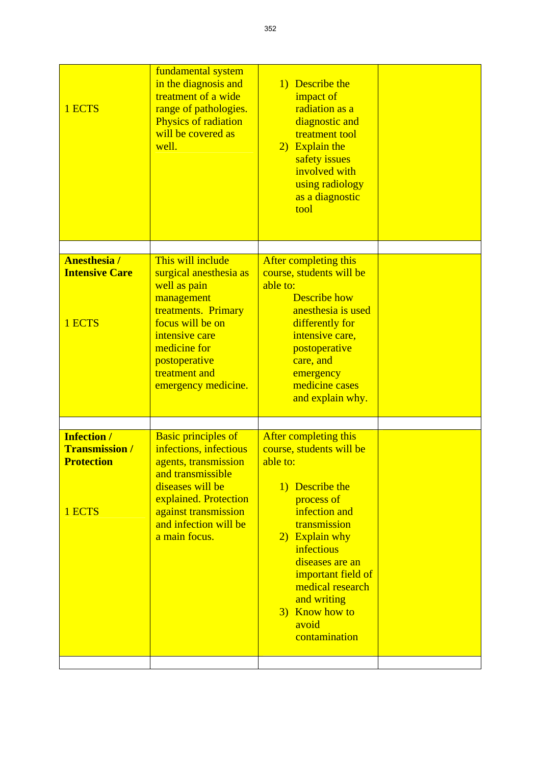| 1 ECTS                                                                     | fundamental system<br>in the diagnosis and<br>treatment of a wide<br>range of pathologies.<br>Physics of radiation<br>will be covered as<br>well.                                                                | 1) Describe the<br>impact of<br>radiation as a<br>diagnostic and<br>treatment tool<br>2) Explain the<br>safety issues<br>involved with<br>using radiology<br>as a diagnostic<br>tool                                                                                                    |  |
|----------------------------------------------------------------------------|------------------------------------------------------------------------------------------------------------------------------------------------------------------------------------------------------------------|-----------------------------------------------------------------------------------------------------------------------------------------------------------------------------------------------------------------------------------------------------------------------------------------|--|
|                                                                            |                                                                                                                                                                                                                  |                                                                                                                                                                                                                                                                                         |  |
| <b>Anesthesia/</b><br><b>Intensive Care</b><br>1 ECTS                      | This will include<br>surgical anesthesia as<br>well as pain<br>management<br>treatments. Primary<br>focus will be on<br>intensive care<br>medicine for<br>postoperative<br>treatment and<br>emergency medicine.  | After completing this<br>course, students will be<br>able to:<br><b>Describe how</b><br>anesthesia is used<br>differently for<br>intensive care,<br>postoperative<br>care, and<br>emergency<br>medicine cases<br>and explain why.                                                       |  |
|                                                                            |                                                                                                                                                                                                                  |                                                                                                                                                                                                                                                                                         |  |
| <b>Infection /</b><br><b>Transmission /</b><br><b>Protection</b><br>1 ECTS | <b>Basic principles of</b><br>infections, infectious<br>agents, transmission<br>and transmissible<br>diseases will be<br>explained. Protection<br>against transmission<br>and infection will be<br>a main focus. | After completing this<br>course, students will be<br>able to:<br>1) Describe the<br>process of<br>infection and<br>transmission<br>2) Explain why<br>infectious<br>diseases are an<br>important field of<br>medical research<br>and writing<br>3) Know how to<br>avoid<br>contamination |  |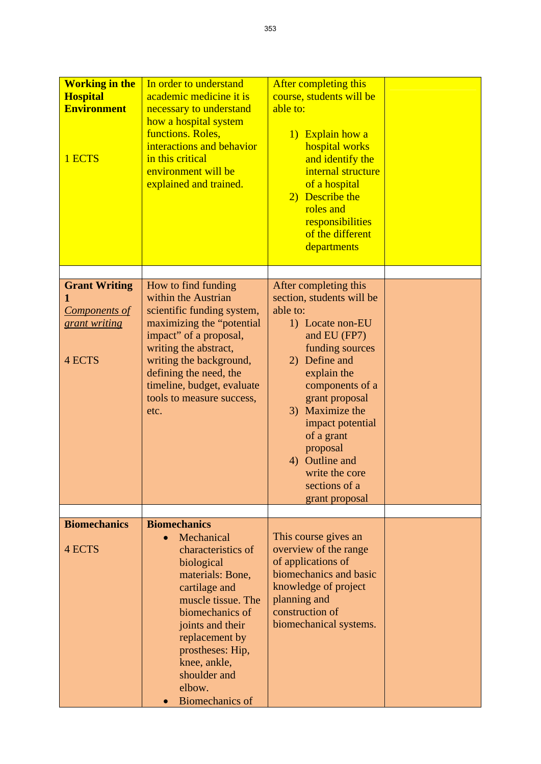| <b>Working in the</b><br><b>Hospital</b><br><b>Environment</b><br>1 ECTS | In order to understand<br>academic medicine it is<br>necessary to understand<br>how a hospital system<br>functions. Roles,<br>interactions and behavior<br>in this critical<br>environment will be<br>explained and trained.                                                      | After completing this<br>course, students will be<br>able to:<br>1) Explain how a<br>hospital works<br>and identify the<br>internal structure<br>of a hospital<br>2) Describe the<br>roles and<br>responsibilities<br>of the different<br>departments                                                                              |  |
|--------------------------------------------------------------------------|-----------------------------------------------------------------------------------------------------------------------------------------------------------------------------------------------------------------------------------------------------------------------------------|------------------------------------------------------------------------------------------------------------------------------------------------------------------------------------------------------------------------------------------------------------------------------------------------------------------------------------|--|
| <b>Grant Writing</b><br><b>Components of</b><br>grant writing<br>4 ECTS  | How to find funding<br>within the Austrian<br>scientific funding system,<br>maximizing the "potential"<br>impact" of a proposal,<br>writing the abstract,<br>writing the background,<br>defining the need, the<br>timeline, budget, evaluate<br>tools to measure success,<br>etc. | After completing this<br>section, students will be<br>able to:<br>1) Locate non-EU<br>and EU (FP7)<br>funding sources<br>2) Define and<br>explain the<br>components of a<br>grant proposal<br>3) Maximize the<br>impact potential<br>of a grant<br>proposal<br>4) Outline and<br>write the core<br>sections of a<br>grant proposal |  |
|                                                                          |                                                                                                                                                                                                                                                                                   |                                                                                                                                                                                                                                                                                                                                    |  |
| <b>Biomechanics</b><br>4 ECTS                                            | <b>Biomechanics</b><br>Mechanical<br>characteristics of<br>biological<br>materials: Bone,<br>cartilage and<br>muscle tissue. The<br>biomechanics of<br>joints and their<br>replacement by<br>prostheses: Hip,<br>knee, ankle,<br>shoulder and<br>elbow.<br><b>Biomechanics of</b> | This course gives an<br>overview of the range<br>of applications of<br>biomechanics and basic<br>knowledge of project<br>planning and<br>construction of<br>biomechanical systems.                                                                                                                                                 |  |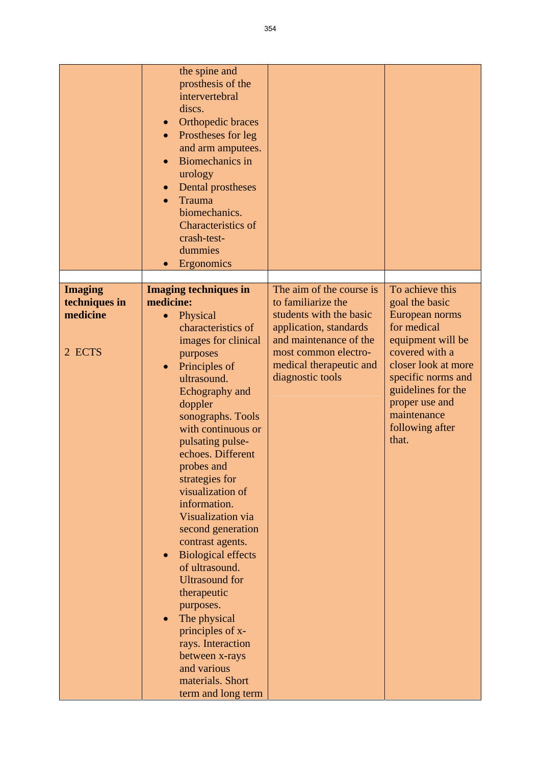|                                                       | the spine and<br>prosthesis of the<br>intervertebral<br>discs.<br>Orthopedic braces<br>$\bullet$<br>Prostheses for leg<br>$\bullet$<br>and arm amputees.<br><b>Biomechanics</b> in<br>$\bullet$<br>urology<br>Dental prostheses<br>$\bullet$<br>Trauma<br>$\bullet$<br>biomechanics.<br><b>Characteristics of</b><br>crash-test-<br>dummies<br>Ergonomics<br>$\bullet$                                                                                                                                                                                                                                                                                                           |                                                                                                                                                                                                      |                                                                                                                                                                                                                                           |
|-------------------------------------------------------|----------------------------------------------------------------------------------------------------------------------------------------------------------------------------------------------------------------------------------------------------------------------------------------------------------------------------------------------------------------------------------------------------------------------------------------------------------------------------------------------------------------------------------------------------------------------------------------------------------------------------------------------------------------------------------|------------------------------------------------------------------------------------------------------------------------------------------------------------------------------------------------------|-------------------------------------------------------------------------------------------------------------------------------------------------------------------------------------------------------------------------------------------|
| <b>Imaging</b><br>techniques in<br>medicine<br>2 ECTS | <b>Imaging techniques in</b><br>medicine:<br>Physical<br>$\bullet$<br>characteristics of<br>images for clinical<br>purposes<br>Principles of<br>$\bullet$<br>ultrasound.<br>Echography and<br>doppler<br>sonographs. Tools<br>with continuous or<br>pulsating pulse-<br>echoes. Different<br>probes and<br>strategies for<br>visualization of<br>information.<br>Visualization via<br>second generation<br>contrast agents.<br><b>Biological effects</b><br>of ultrasound.<br><b>Ultrasound for</b><br>therapeutic<br>purposes.<br>The physical<br>$\bullet$<br>principles of x-<br>rays. Interaction<br>between x-rays<br>and various<br>materials. Short<br>term and long term | The aim of the course is<br>to familiarize the<br>students with the basic<br>application, standards<br>and maintenance of the<br>most common electro-<br>medical therapeutic and<br>diagnostic tools | To achieve this<br>goal the basic<br>European norms<br>for medical<br>equipment will be<br>covered with a<br>closer look at more<br>specific norms and<br>guidelines for the<br>proper use and<br>maintenance<br>following after<br>that. |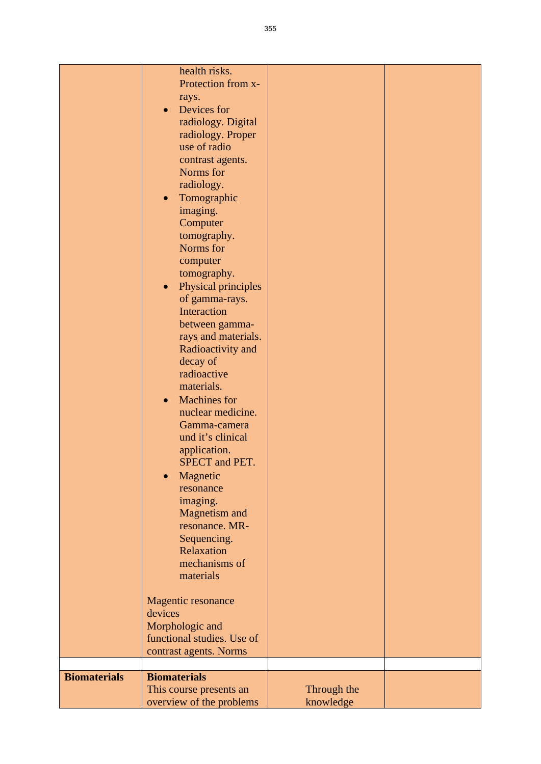|                     | health risks.                    |             |  |
|---------------------|----------------------------------|-------------|--|
|                     | Protection from x-               |             |  |
|                     | rays.                            |             |  |
|                     | Devices for<br>$\bullet$         |             |  |
|                     | radiology. Digital               |             |  |
|                     |                                  |             |  |
|                     | radiology. Proper                |             |  |
|                     | use of radio                     |             |  |
|                     | contrast agents.                 |             |  |
|                     | Norms for                        |             |  |
|                     | radiology.                       |             |  |
|                     | Tomographic<br>$\bullet$         |             |  |
|                     |                                  |             |  |
|                     | imaging.                         |             |  |
|                     | Computer                         |             |  |
|                     | tomography.                      |             |  |
|                     | Norms for                        |             |  |
|                     | computer                         |             |  |
|                     | tomography.                      |             |  |
|                     | Physical principles<br>$\bullet$ |             |  |
|                     | of gamma-rays.                   |             |  |
|                     |                                  |             |  |
|                     | Interaction                      |             |  |
|                     | between gamma-                   |             |  |
|                     | rays and materials.              |             |  |
|                     | Radioactivity and                |             |  |
|                     | decay of                         |             |  |
|                     | radioactive                      |             |  |
|                     | materials.                       |             |  |
|                     |                                  |             |  |
|                     | <b>Machines</b> for<br>$\bullet$ |             |  |
|                     | nuclear medicine.                |             |  |
|                     | Gamma-camera                     |             |  |
|                     | und it's clinical                |             |  |
|                     | application.                     |             |  |
|                     | SPECT and PET.                   |             |  |
|                     | Magnetic                         |             |  |
|                     | resonance                        |             |  |
|                     |                                  |             |  |
|                     | imaging.                         |             |  |
|                     | <b>Magnetism and</b>             |             |  |
|                     | resonance. MR-                   |             |  |
|                     | Sequencing.                      |             |  |
|                     | Relaxation                       |             |  |
|                     | mechanisms of                    |             |  |
|                     | materials                        |             |  |
|                     |                                  |             |  |
|                     | Magentic resonance               |             |  |
|                     | devices                          |             |  |
|                     |                                  |             |  |
|                     | Morphologic and                  |             |  |
|                     | functional studies. Use of       |             |  |
|                     | contrast agents. Norms           |             |  |
|                     |                                  |             |  |
| <b>Biomaterials</b> | <b>Biomaterials</b>              |             |  |
|                     | This course presents an          | Through the |  |
|                     | overview of the problems         | knowledge   |  |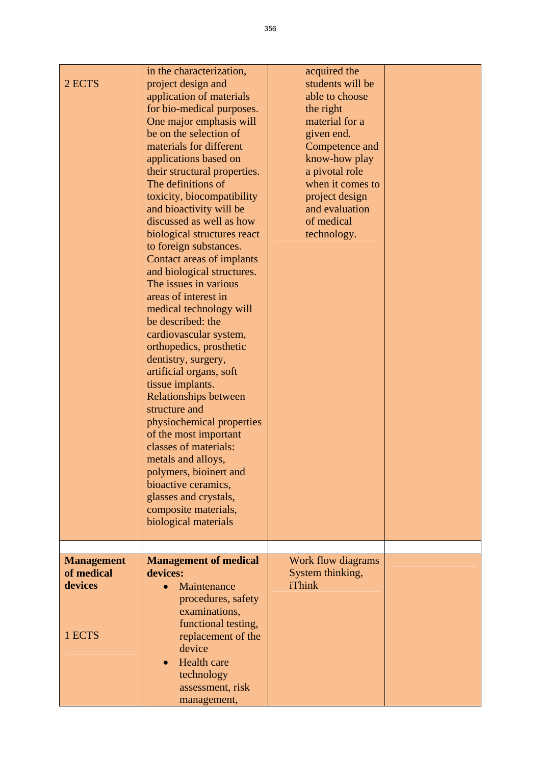| 2 ECTS                                               | in the characterization,<br>project design and<br>application of materials<br>for bio-medical purposes.<br>One major emphasis will<br>be on the selection of<br>materials for different<br>applications based on<br>their structural properties.<br>The definitions of<br>toxicity, biocompatibility<br>and bioactivity will be<br>discussed as well as how<br>biological structures react<br>to foreign substances.<br>Contact areas of implants<br>and biological structures.<br>The issues in various<br>areas of interest in<br>medical technology will<br>be described: the<br>cardiovascular system,<br>orthopedics, prosthetic<br>dentistry, surgery,<br>artificial organs, soft<br>tissue implants.<br><b>Relationships between</b><br>structure and<br>physiochemical properties<br>of the most important<br>classes of materials:<br>metals and alloys,<br>polymers, bioinert and<br>bioactive ceramics,<br>glasses and crystals,<br>composite materials,<br>biological materials | acquired the<br>students will be<br>able to choose<br>the right<br>material for a<br>given end.<br>Competence and<br>know-how play<br>a pivotal role<br>when it comes to<br>project design<br>and evaluation<br>of medical<br>technology. |  |
|------------------------------------------------------|---------------------------------------------------------------------------------------------------------------------------------------------------------------------------------------------------------------------------------------------------------------------------------------------------------------------------------------------------------------------------------------------------------------------------------------------------------------------------------------------------------------------------------------------------------------------------------------------------------------------------------------------------------------------------------------------------------------------------------------------------------------------------------------------------------------------------------------------------------------------------------------------------------------------------------------------------------------------------------------------|-------------------------------------------------------------------------------------------------------------------------------------------------------------------------------------------------------------------------------------------|--|
| <b>Management</b><br>of medical<br>devices<br>1 ECTS | <b>Management of medical</b><br>devices:<br>Maintenance<br>$\bullet$<br>procedures, safety<br>examinations,<br>functional testing,<br>replacement of the<br>device<br>Health care<br>technology<br>assessment, risk<br>management,                                                                                                                                                                                                                                                                                                                                                                                                                                                                                                                                                                                                                                                                                                                                                          | Work flow diagrams<br>System thinking,<br>iThink                                                                                                                                                                                          |  |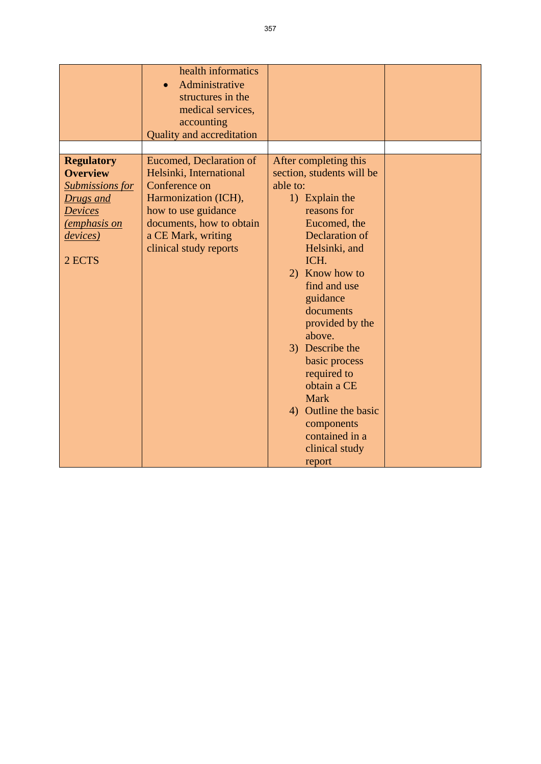|                                                                                                                                                    | health informatics<br>Administrative<br>structures in the<br>medical services,<br>accounting<br><b>Quality and accreditation</b>                                                                      |                                                                                                                                                                                                                                                                                                                                                                                                                         |  |
|----------------------------------------------------------------------------------------------------------------------------------------------------|-------------------------------------------------------------------------------------------------------------------------------------------------------------------------------------------------------|-------------------------------------------------------------------------------------------------------------------------------------------------------------------------------------------------------------------------------------------------------------------------------------------------------------------------------------------------------------------------------------------------------------------------|--|
| <b>Regulatory</b><br><b>Overview</b><br><b>Submissions for</b><br>Drugs and<br><b>Devices</b><br><u>(emphasis on</u><br><i>devices</i> )<br>2 ECTS | <b>Eucomed, Declaration of</b><br>Helsinki, International<br>Conference on<br>Harmonization (ICH),<br>how to use guidance<br>documents, how to obtain<br>a CE Mark, writing<br>clinical study reports | After completing this<br>section, students will be<br>able to:<br>1) Explain the<br>reasons for<br>Eucomed, the<br>Declaration of<br>Helsinki, and<br>ICH.<br>2) Know how to<br>find and use<br>guidance<br>documents<br>provided by the<br>above.<br>3) Describe the<br>basic process<br>required to<br>obtain a CE<br><b>Mark</b><br>4) Outline the basic<br>components<br>contained in a<br>clinical study<br>report |  |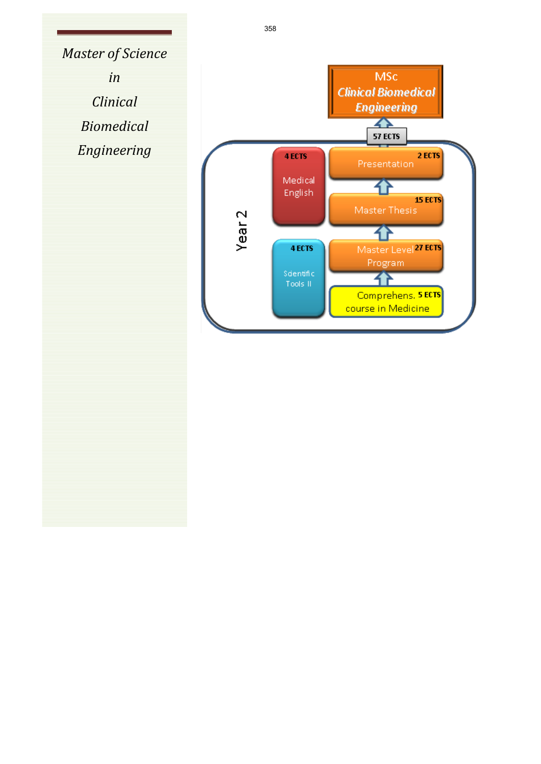*Master of Science in Clinical Biomedical*

*Engineering*

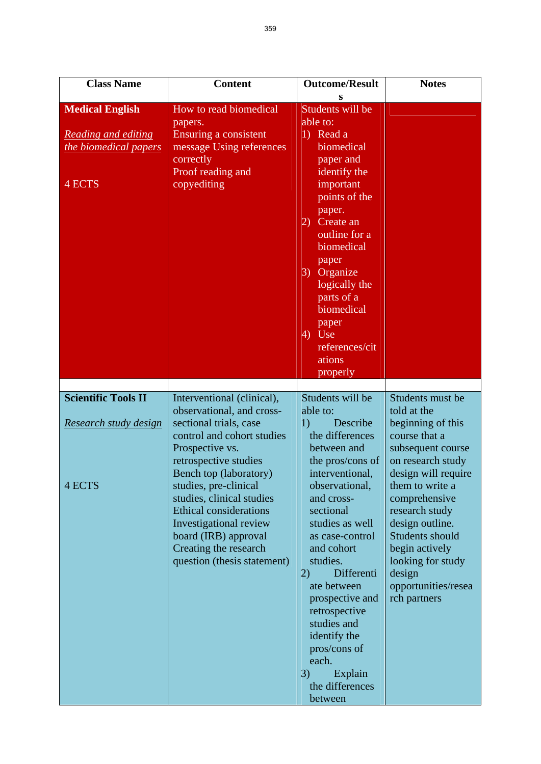| <b>Class Name</b>                                                                | <b>Content</b>                                                                                                                                                                                                                                                                                                                                                                         | <b>Outcome/Result</b>                                                                                                                                                                                                                                                                                                                                                                                              | <b>Notes</b>                                                                                                                                                                                                                                                                                                               |
|----------------------------------------------------------------------------------|----------------------------------------------------------------------------------------------------------------------------------------------------------------------------------------------------------------------------------------------------------------------------------------------------------------------------------------------------------------------------------------|--------------------------------------------------------------------------------------------------------------------------------------------------------------------------------------------------------------------------------------------------------------------------------------------------------------------------------------------------------------------------------------------------------------------|----------------------------------------------------------------------------------------------------------------------------------------------------------------------------------------------------------------------------------------------------------------------------------------------------------------------------|
| <b>Medical English</b><br>Reading and editing<br>the biomedical papers<br>4 ECTS | How to read biomedical<br>papers.<br>Ensuring a consistent<br>message Using references<br>correctly<br>Proof reading and<br>copyediting                                                                                                                                                                                                                                                | Students will be<br>able to:<br>1) Read a<br>biomedical<br>paper and<br>identify the<br>important<br>points of the<br>paper.<br>Create an<br>2)<br>outline for a<br>biomedical<br>paper<br>Organize<br>3)<br>logically the<br>parts of a<br>biomedical<br>paper<br>$\overline{4}$ Use<br>references/cit<br>ations<br>properly                                                                                      |                                                                                                                                                                                                                                                                                                                            |
|                                                                                  |                                                                                                                                                                                                                                                                                                                                                                                        |                                                                                                                                                                                                                                                                                                                                                                                                                    |                                                                                                                                                                                                                                                                                                                            |
| <b>Scientific Tools II</b><br>Research study design<br>4 ECTS                    | Interventional (clinical),<br>observational, and cross-<br>sectional trials, case<br>control and cohort studies<br>Prospective vs.<br>retrospective studies<br>Bench top (laboratory)<br>studies, pre-clinical<br>studies, clinical studies<br><b>Ethical considerations</b><br>Investigational review<br>board (IRB) approval<br>Creating the research<br>question (thesis statement) | Students will be<br>able to:<br>Describe<br>1)<br>the differences<br>between and<br>the pros/cons of<br>interventional,<br>observational,<br>and cross-<br>sectional<br>studies as well<br>as case-control<br>and cohort<br>studies.<br>Differenti<br>2)<br>ate between<br>prospective and<br>retrospective<br>studies and<br>identify the<br>pros/cons of<br>each.<br>3)<br>Explain<br>the differences<br>between | Students must be<br>told at the<br>beginning of this<br>course that a<br>subsequent course<br>on research study<br>design will require<br>them to write a<br>comprehensive<br>research study<br>design outline.<br>Students should<br>begin actively<br>looking for study<br>design<br>opportunities/resea<br>rch partners |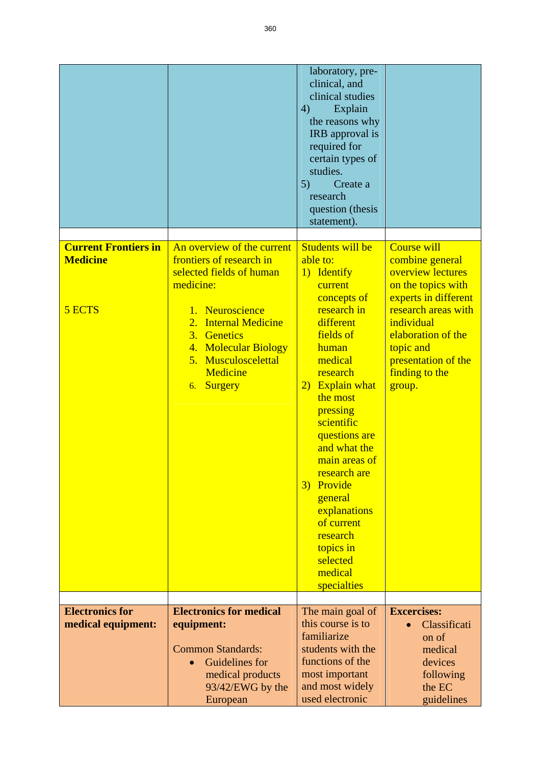|                                                          |                                                                                                                                                                                                                                              | laboratory, pre-<br>clinical, and<br>clinical studies<br>4)<br>Explain<br>the reasons why<br>IRB approval is<br>required for<br>certain types of<br>studies.<br>5)<br>Create a<br>research<br>question (thesis<br>statement).                                                                                                                                                                   |                                                                                                                                                                                                                                     |
|----------------------------------------------------------|----------------------------------------------------------------------------------------------------------------------------------------------------------------------------------------------------------------------------------------------|-------------------------------------------------------------------------------------------------------------------------------------------------------------------------------------------------------------------------------------------------------------------------------------------------------------------------------------------------------------------------------------------------|-------------------------------------------------------------------------------------------------------------------------------------------------------------------------------------------------------------------------------------|
| <b>Current Frontiers in</b><br><b>Medicine</b><br>5 ECTS | An overview of the current<br>frontiers of research in<br>selected fields of human<br>medicine:<br>1. Neuroscience<br><b>Internal Medicine</b><br>2.<br>3. Genetics<br>4. Molecular Biology<br>5. Musculoscelettal<br>Medicine<br>6. Surgery | Students will be<br>able to:<br>1) Identify<br>current<br>concepts of<br>research in<br>different<br>fields of<br>human<br>medical<br>research<br>2) Explain what<br>the most<br>pressing<br>scientific<br>questions are<br>and what the<br>main areas of<br>research are<br>3) Provide<br>general<br>explanations<br>of current<br>research<br>topics in<br>selected<br>medical<br>specialties | <b>Course will</b><br>combine general<br>overview lectures<br>on the topics with<br>experts in different<br>research areas with<br>individual<br>elaboration of the<br>topic and<br>presentation of the<br>finding to the<br>group. |
| <b>Electronics for</b><br>medical equipment:             | <b>Electronics for medical</b><br>equipment:<br><b>Common Standards:</b><br>Guidelines for<br>medical products                                                                                                                               | The main goal of<br>this course is to<br>familiarize<br>students with the<br>functions of the<br>most important                                                                                                                                                                                                                                                                                 | <b>Excercises:</b><br>Classificati<br>on of<br>medical<br>devices<br>following                                                                                                                                                      |
|                                                          | 93/42/EWG by the<br>European                                                                                                                                                                                                                 | and most widely<br>used electronic                                                                                                                                                                                                                                                                                                                                                              | the EC<br>guidelines                                                                                                                                                                                                                |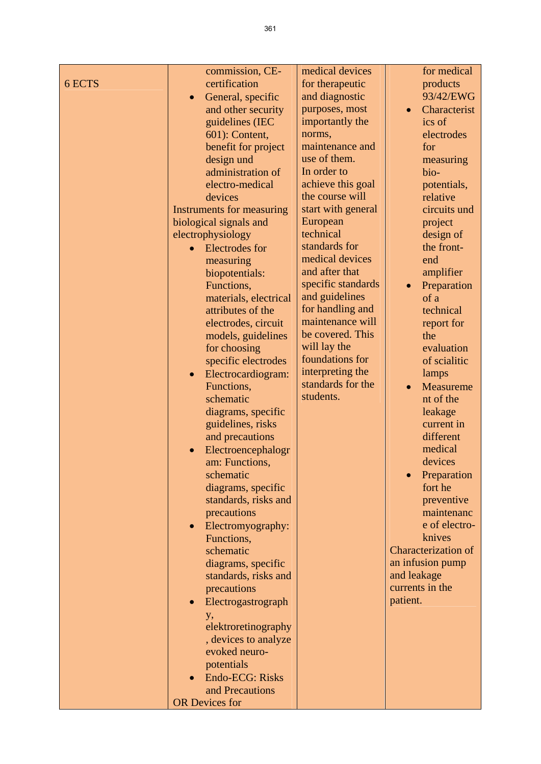|        | commission, CE-                  | medical devices    | for medical                |
|--------|----------------------------------|--------------------|----------------------------|
| 6 ECTS | certification                    | for therapeutic    | products                   |
|        |                                  | and diagnostic     | 93/42/EWG                  |
|        | General, specific<br>$\bullet$   | purposes, most     |                            |
|        | and other security               |                    | Characterist               |
|        | guidelines (IEC                  | importantly the    | ics of                     |
|        | 601): Content,                   | norms,             | electrodes                 |
|        | benefit for project              | maintenance and    | for                        |
|        | design und                       | use of them.       | measuring                  |
|        | administration of                | In order to        | bio-                       |
|        | electro-medical                  | achieve this goal  | potentials,                |
|        | devices                          | the course will    | relative                   |
|        | <b>Instruments for measuring</b> | start with general | circuits und               |
|        | biological signals and           | European           | project                    |
|        | electrophysiology                | technical          | design of                  |
|        | <b>Electrodes</b> for            | standards for      | the front-                 |
|        | measuring                        | medical devices    | end                        |
|        | biopotentials:                   | and after that     | amplifier                  |
|        | Functions,                       | specific standards | Preparation                |
|        | materials, electrical            | and guidelines     | of a                       |
|        | attributes of the                | for handling and   | technical                  |
|        | electrodes, circuit              | maintenance will   | report for                 |
|        | models, guidelines               | be covered. This   | the                        |
|        | for choosing                     | will lay the       | evaluation                 |
|        | specific electrodes              | foundations for    | of scialitic               |
|        | Electrocardiogram:<br>$\bullet$  | interpreting the   | lamps                      |
|        | Functions,                       | standards for the  | Measureme<br>$\bullet$     |
|        | schematic                        | students.          | nt of the                  |
|        | diagrams, specific               |                    | leakage                    |
|        | guidelines, risks                |                    | current in                 |
|        | and precautions                  |                    | different                  |
|        | Electroencephalogr<br>$\bullet$  |                    | medical                    |
|        | am: Functions,                   |                    | devices                    |
|        | schematic                        |                    | Preparation                |
|        | diagrams, specific               |                    | fort he                    |
|        | standards, risks and             |                    | preventive                 |
|        | precautions                      |                    | maintenanc                 |
|        | Electromyography:<br>$\bullet$   |                    | e of electro-              |
|        | Functions,                       |                    | knives                     |
|        | schematic                        |                    | <b>Characterization of</b> |
|        | diagrams, specific               |                    | an infusion pump           |
|        | standards, risks and             |                    | and leakage                |
|        | precautions                      |                    | currents in the            |
|        | Electrogastrograph<br>$\bullet$  |                    | patient.                   |
|        | <b>y</b> ,                       |                    |                            |
|        | elektroretinography              |                    |                            |
|        | , devices to analyze             |                    |                            |
|        | evoked neuro-                    |                    |                            |
|        | potentials                       |                    |                            |
|        | Endo-ECG: Risks                  |                    |                            |
|        | and Precautions                  |                    |                            |
|        | <b>OR Devices for</b>            |                    |                            |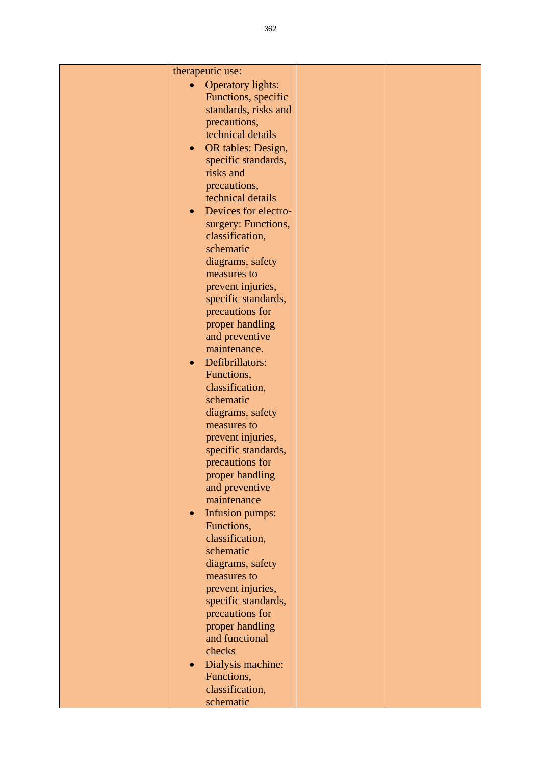| therapeutic use: |                          |  |
|------------------|--------------------------|--|
|                  | <b>Operatory lights:</b> |  |
|                  | Functions, specific      |  |
|                  | standards, risks and     |  |
|                  | precautions,             |  |
|                  | technical details        |  |
|                  |                          |  |
| $\bullet$        | OR tables: Design,       |  |
|                  | specific standards,      |  |
|                  | risks and                |  |
|                  | precautions,             |  |
|                  | technical details        |  |
| $\bullet$        | Devices for electro-     |  |
|                  | surgery: Functions,      |  |
|                  | classification,          |  |
|                  | schematic                |  |
|                  | diagrams, safety         |  |
|                  | measures to              |  |
|                  | prevent injuries,        |  |
|                  | specific standards,      |  |
|                  | precautions for          |  |
|                  | proper handling          |  |
|                  | and preventive           |  |
|                  | maintenance.             |  |
|                  |                          |  |
| $\bullet$        | Defibrillators:          |  |
|                  | Functions,               |  |
|                  | classification,          |  |
|                  | schematic                |  |
|                  | diagrams, safety         |  |
|                  | measures to              |  |
|                  | prevent injuries,        |  |
|                  | specific standards,      |  |
|                  | precautions for          |  |
|                  | proper handling          |  |
|                  | and preventive           |  |
|                  | maintenance              |  |
| $\bullet$        | Infusion pumps:          |  |
|                  | Functions,               |  |
|                  | classification,          |  |
|                  | schematic                |  |
|                  | diagrams, safety         |  |
|                  | measures to              |  |
|                  | prevent injuries,        |  |
|                  | specific standards,      |  |
|                  | precautions for          |  |
|                  | proper handling          |  |
|                  | and functional           |  |
|                  | checks                   |  |
| $\bullet$        | Dialysis machine:        |  |
|                  | Functions,               |  |
|                  | classification,          |  |
|                  |                          |  |
|                  | schematic                |  |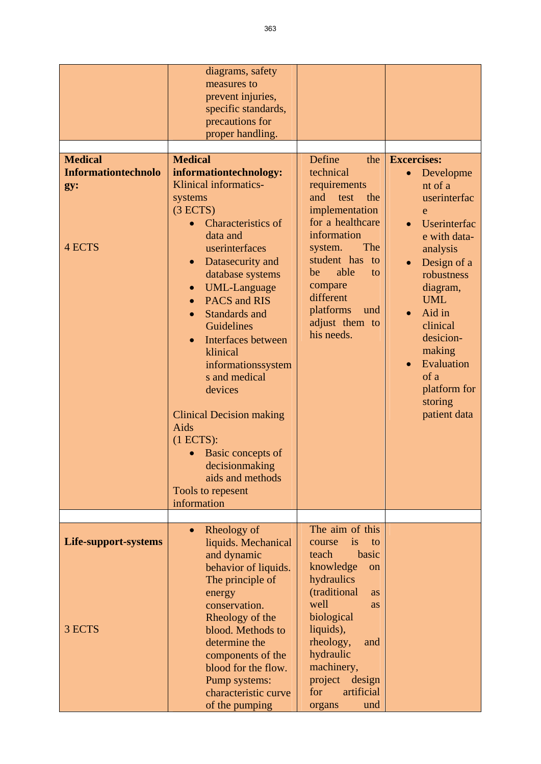|                                                               | diagrams, safety<br>measures to<br>prevent injuries,<br>specific standards,<br>precautions for<br>proper handling.                                                                                                                                                                                                                                                                                                                                                                                                                                               |                                                                                                                                                                                                                                                                                            |                                                                                                                                                                                                                                                                                  |
|---------------------------------------------------------------|------------------------------------------------------------------------------------------------------------------------------------------------------------------------------------------------------------------------------------------------------------------------------------------------------------------------------------------------------------------------------------------------------------------------------------------------------------------------------------------------------------------------------------------------------------------|--------------------------------------------------------------------------------------------------------------------------------------------------------------------------------------------------------------------------------------------------------------------------------------------|----------------------------------------------------------------------------------------------------------------------------------------------------------------------------------------------------------------------------------------------------------------------------------|
| <b>Medical</b><br><b>Informationtechnolo</b><br>gy:<br>4 ECTS | <b>Medical</b><br>informationtechnology:<br>Klinical informatics-<br>systems<br>(3 ECTS)<br><b>Characteristics of</b><br>data and<br>userinterfaces<br>Datasecurity and<br>$\bullet$<br>database systems<br><b>UML-Language</b><br>$\bullet$<br>PACS and RIS<br>$\bullet$<br>Standards and<br>Guidelines<br>Interfaces between<br>$\bullet$<br>klinical<br>informationssystem<br>s and medical<br>devices<br><b>Clinical Decision making</b><br>Aids<br>(1 ECTS):<br>Basic concepts of<br>decisionmaking<br>aids and methods<br>Tools to repesent<br>information | Define<br>the<br>technical<br>requirements<br>test<br>and<br>the<br>implementation<br>for a healthcare<br>information<br>The<br>system.<br>student has<br>to<br>able<br>be<br>to<br>compare<br>different<br>platforms<br>und<br>adjust them to<br>his needs.                               | <b>Excercises:</b><br>Developme<br>nt of a<br>userinterfac<br>e<br>Userinterfac<br>e with data-<br>analysis<br>Design of a<br>robustness<br>diagram,<br><b>UML</b><br>Aid in<br>clinical<br>desicion-<br>making<br>Evaluation<br>of a<br>platform for<br>storing<br>patient data |
| Life-support-systems<br>3 ECTS                                | Rheology of<br>$\bullet$<br>liquids. Mechanical<br>and dynamic<br>behavior of liquids.<br>The principle of<br>energy<br>conservation.<br>Rheology of the<br>blood. Methods to<br>determine the<br>components of the<br>blood for the flow.<br>Pump systems:<br>characteristic curve<br>of the pumping                                                                                                                                                                                                                                                            | The aim of this<br><i>is</i><br>course<br>to<br>teach<br>basic<br>knowledge<br><sub>on</sub><br>hydraulics<br>(traditional<br><b>as</b><br>well<br>as<br>biological<br>liquids),<br>rheology,<br>and<br>hydraulic<br>machinery,<br>project<br>design<br>for<br>artificial<br>und<br>organs |                                                                                                                                                                                                                                                                                  |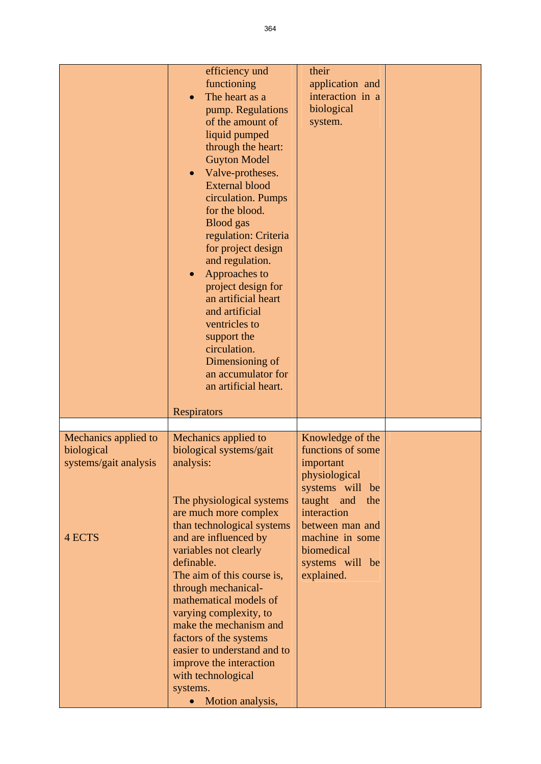|                                                                              | efficiency und<br>functioning<br>The heart as a<br>pump. Regulations<br>of the amount of<br>liquid pumped<br>through the heart:<br><b>Guyton Model</b><br>Valve-protheses.<br><b>External blood</b><br>circulation. Pumps<br>for the blood.<br><b>Blood</b> gas<br>regulation: Criteria<br>for project design<br>and regulation.<br>Approaches to<br>$\bullet$<br>project design for<br>an artificial heart<br>and artificial<br>ventricles to<br>support the<br>circulation.<br>Dimensioning of<br>an accumulator for<br>an artificial heart. | their<br>application and<br>interaction in a<br>biological<br>system.                                                                                                                                              |  |
|------------------------------------------------------------------------------|------------------------------------------------------------------------------------------------------------------------------------------------------------------------------------------------------------------------------------------------------------------------------------------------------------------------------------------------------------------------------------------------------------------------------------------------------------------------------------------------------------------------------------------------|--------------------------------------------------------------------------------------------------------------------------------------------------------------------------------------------------------------------|--|
|                                                                              | <b>Respirators</b>                                                                                                                                                                                                                                                                                                                                                                                                                                                                                                                             |                                                                                                                                                                                                                    |  |
|                                                                              |                                                                                                                                                                                                                                                                                                                                                                                                                                                                                                                                                |                                                                                                                                                                                                                    |  |
| Mechanics applied to<br>biological<br>systems/gait analysis<br><b>4 ECTS</b> | Mechanics applied to<br>biological systems/gait<br>analysis:<br>The physiological systems<br>are much more complex<br>than technological systems<br>and are influenced by<br>variables not clearly<br>definable.<br>The aim of this course is,<br>through mechanical-<br>mathematical models of<br>varying complexity, to<br>make the mechanism and<br>factors of the systems<br>easier to understand and to<br>improve the interaction<br>with technological<br>systems.<br>Motion analysis,                                                  | Knowledge of the<br>functions of some<br>important<br>physiological<br>systems will be<br>taught<br>and<br>the<br>interaction<br>between man and<br>machine in some<br>biomedical<br>systems will be<br>explained. |  |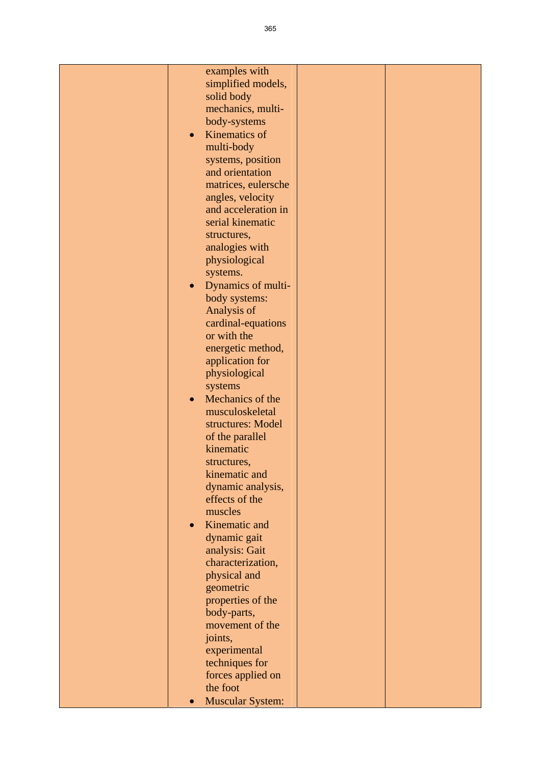| examples with                     |  |
|-----------------------------------|--|
| simplified models,                |  |
| solid body                        |  |
| mechanics, multi-                 |  |
| body-systems                      |  |
| Kinematics of                     |  |
| $\bullet$                         |  |
| multi-body                        |  |
| systems, position                 |  |
| and orientation                   |  |
| matrices, eulersche               |  |
| angles, velocity                  |  |
| and acceleration in               |  |
| serial kinematic                  |  |
| structures,                       |  |
| analogies with                    |  |
| physiological                     |  |
| systems.                          |  |
| Dynamics of multi-<br>$\bullet$   |  |
| body systems:                     |  |
| Analysis of                       |  |
|                                   |  |
| cardinal-equations<br>or with the |  |
|                                   |  |
| energetic method,                 |  |
| application for                   |  |
| physiological                     |  |
| systems                           |  |
| Mechanics of the                  |  |
| musculoskeletal                   |  |
| structures: Model                 |  |
| of the parallel                   |  |
| kinematic                         |  |
| structures,                       |  |
| kinematic and                     |  |
| dynamic analysis,                 |  |
| effects of the                    |  |
| muscles                           |  |
| Kinematic and<br>$\bullet$        |  |
| dynamic gait                      |  |
| analysis: Gait                    |  |
| characterization,                 |  |
| physical and                      |  |
| geometric                         |  |
| properties of the                 |  |
| body-parts,                       |  |
| movement of the                   |  |
| joints,                           |  |
| experimental                      |  |
| techniques for                    |  |
| forces applied on                 |  |
| the foot                          |  |
| Muscular System:<br>$\bullet$     |  |
|                                   |  |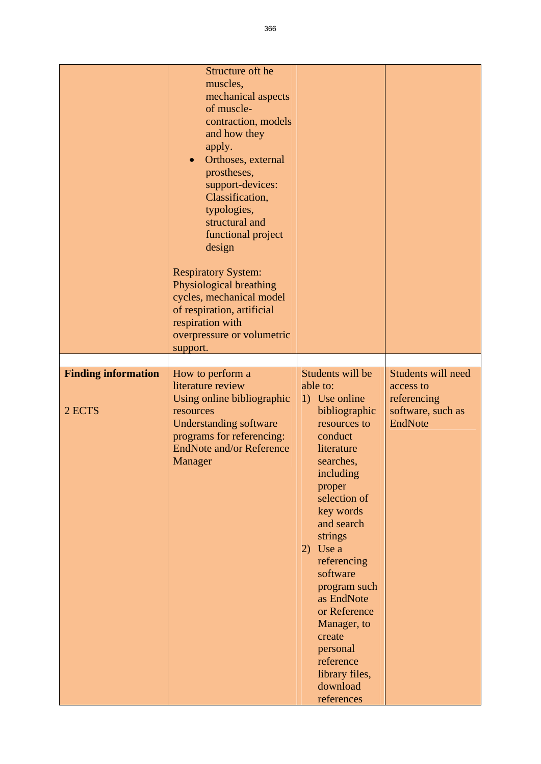|                                      | Structure oft he<br>muscles,<br>mechanical aspects<br>of muscle-<br>contraction, models<br>and how they<br>apply.<br>Orthoses, external<br>$\bullet$<br>prostheses,<br>support-devices:<br>Classification,<br>typologies,<br>structural and<br>functional project<br>design<br><b>Respiratory System:</b><br>Physiological breathing<br>cycles, mechanical model<br>of respiration, artificial<br>respiration with<br>overpressure or volumetric<br>support. |                                                                                                                                                                                                                                                                                                                                                                                        |                                                                                |
|--------------------------------------|--------------------------------------------------------------------------------------------------------------------------------------------------------------------------------------------------------------------------------------------------------------------------------------------------------------------------------------------------------------------------------------------------------------------------------------------------------------|----------------------------------------------------------------------------------------------------------------------------------------------------------------------------------------------------------------------------------------------------------------------------------------------------------------------------------------------------------------------------------------|--------------------------------------------------------------------------------|
| <b>Finding information</b><br>2 ECTS | How to perform a<br>literature review<br>Using online bibliographic<br>resources<br><b>Understanding software</b><br>programs for referencing:<br><b>EndNote and/or Reference</b><br>Manager                                                                                                                                                                                                                                                                 | Students will be<br>able to:<br>1) Use online<br>bibliographic<br>resources to<br>conduct<br>literature<br>searches,<br>including<br>proper<br>selection of<br>key words<br>and search<br>strings<br>2) Use $a$<br>referencing<br>software<br>program such<br>as EndNote<br>or Reference<br>Manager, to<br>create<br>personal<br>reference<br>library files,<br>download<br>references | Students will need<br>access to<br>referencing<br>software, such as<br>EndNote |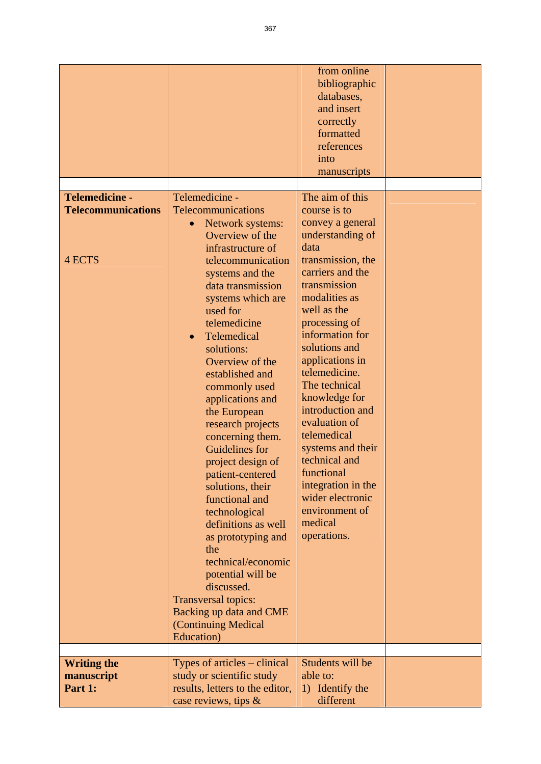| Telemedicine -<br><b>Telecommunications</b> | Telemedicine -<br><b>Telecommunications</b><br>Network systems:<br>Overview of the                                                                                                                                                                                                                                                                                                                                                                                                                                                                                                                                                  | from online<br>bibliographic<br>databases,<br>and insert<br>correctly<br>formatted<br>references<br>into<br>manuscripts<br>The aim of this<br>course is to<br>convey a general<br>understanding of                                                                                                                                                                                                                     |  |
|---------------------------------------------|-------------------------------------------------------------------------------------------------------------------------------------------------------------------------------------------------------------------------------------------------------------------------------------------------------------------------------------------------------------------------------------------------------------------------------------------------------------------------------------------------------------------------------------------------------------------------------------------------------------------------------------|------------------------------------------------------------------------------------------------------------------------------------------------------------------------------------------------------------------------------------------------------------------------------------------------------------------------------------------------------------------------------------------------------------------------|--|
| 4 ECTS                                      | infrastructure of<br>telecommunication<br>systems and the<br>data transmission<br>systems which are<br>used for<br>telemedicine<br>Telemedical<br>$\bullet$<br>solutions:<br>Overview of the<br>established and<br>commonly used<br>applications and<br>the European<br>research projects<br>concerning them.<br>Guidelines for<br>project design of<br>patient-centered<br>solutions, their<br>functional and<br>technological<br>definitions as well<br>as prototyping and<br>the<br>technical/economic<br>potential will be<br>discussed.<br>Transversal topics:<br>Backing up data and CME<br>(Continuing Medical<br>Education) | data<br>transmission, the<br>carriers and the<br>transmission<br>modalities as<br>well as the<br>processing of<br>information for<br>solutions and<br>applications in<br>telemedicine.<br>The technical<br>knowledge for<br>introduction and<br>evaluation of<br>telemedical<br>systems and their<br>technical and<br>functional<br>integration in the<br>wider electronic<br>environment of<br>medical<br>operations. |  |
| <b>Writing the</b><br>manuscript<br>Part 1: | Types of articles – clinical<br>study or scientific study<br>results, letters to the editor,<br>case reviews, tips $\&$                                                                                                                                                                                                                                                                                                                                                                                                                                                                                                             | Students will be<br>able to:<br>1) Identify the<br>different                                                                                                                                                                                                                                                                                                                                                           |  |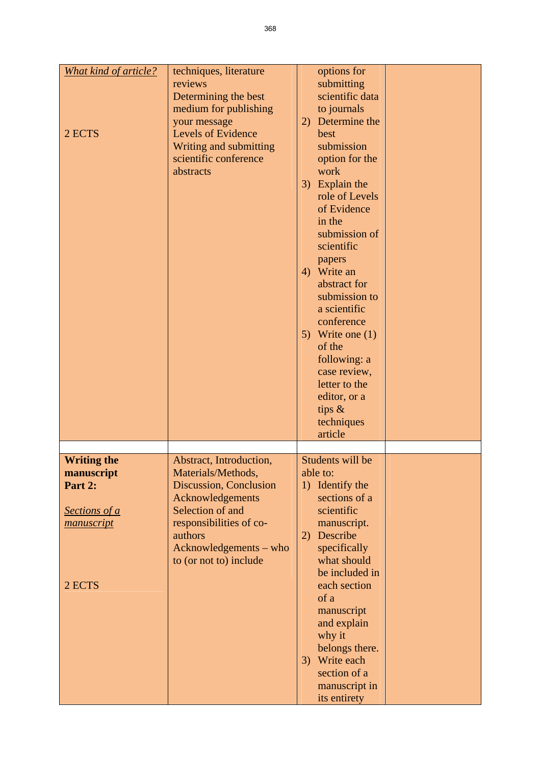| What kind of article?                         | techniques, literature<br>reviews<br>Determining the best<br>medium for publishing                                                                              | options for<br>submitting<br>scientific data<br>to journals                                                                                                                                                                                                                                                                                                                                 |  |
|-----------------------------------------------|-----------------------------------------------------------------------------------------------------------------------------------------------------------------|---------------------------------------------------------------------------------------------------------------------------------------------------------------------------------------------------------------------------------------------------------------------------------------------------------------------------------------------------------------------------------------------|--|
| 2 ECTS                                        | your message<br><b>Levels of Evidence</b><br>Writing and submitting<br>scientific conference<br>abstracts                                                       | 2) Determine the<br>best<br>submission<br>option for the<br>work<br>3) Explain the<br>role of Levels<br>of Evidence<br>in the<br>submission of<br>scientific<br>papers<br>4) Write an<br>abstract for<br>submission to<br>a scientific<br>conference<br>5) Write one $(1)$<br>of the<br>following: a<br>case review,<br>letter to the<br>editor, or a<br>tips $\&$<br>techniques<br>article |  |
|                                               |                                                                                                                                                                 | Students will be                                                                                                                                                                                                                                                                                                                                                                            |  |
| <b>Writing the</b><br>manuscript              | Abstract, Introduction,<br>Materials/Methods,                                                                                                                   | able to:                                                                                                                                                                                                                                                                                                                                                                                    |  |
| Part 2:<br><b>Sections of a</b><br>manuscript | <b>Discussion, Conclusion</b><br>Acknowledgements<br>Selection of and<br>responsibilities of co-<br>authors<br>Acknowledgements - who<br>to (or not to) include | 1) Identify the<br>sections of a<br>scientific<br>manuscript.<br>Describe<br>2)<br>specifically<br>what should<br>be included in                                                                                                                                                                                                                                                            |  |
| 2 ECTS                                        |                                                                                                                                                                 | each section<br>of a<br>manuscript<br>and explain<br>why it<br>belongs there.<br>3) Write each<br>section of a<br>manuscript in<br>its entirety                                                                                                                                                                                                                                             |  |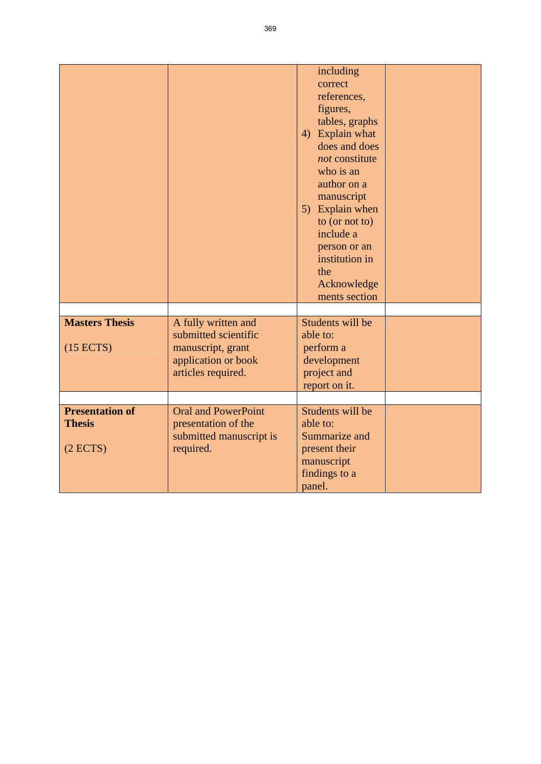|                                    |                                                                                                               | including<br>correct<br>references,<br>figures,<br>tables, graphs<br>4) Explain what<br>does and does<br>not constitute<br>who is an<br>author on a<br>manuscript<br>5) Explain when<br>to (or not to)<br>include a<br>person or an<br>institution in<br>the<br>Acknowledge<br>ments section |  |
|------------------------------------|---------------------------------------------------------------------------------------------------------------|----------------------------------------------------------------------------------------------------------------------------------------------------------------------------------------------------------------------------------------------------------------------------------------------|--|
|                                    |                                                                                                               |                                                                                                                                                                                                                                                                                              |  |
| <b>Masters Thesis</b><br>(15 ECTS) | A fully written and<br>submitted scientific<br>manuscript, grant<br>application or book<br>articles required. | Students will be<br>able to:<br>perform a<br>development<br>project and<br>report on it.                                                                                                                                                                                                     |  |
|                                    |                                                                                                               |                                                                                                                                                                                                                                                                                              |  |
| <b>Presentation of</b>             | <b>Oral and PowerPoint</b>                                                                                    | Students will be                                                                                                                                                                                                                                                                             |  |
| <b>Thesis</b><br>(2 ECTS)          | presentation of the<br>submitted manuscript is<br>required.                                                   | able to:<br>Summarize and<br>present their<br>manuscript<br>findings to a<br>panel.                                                                                                                                                                                                          |  |